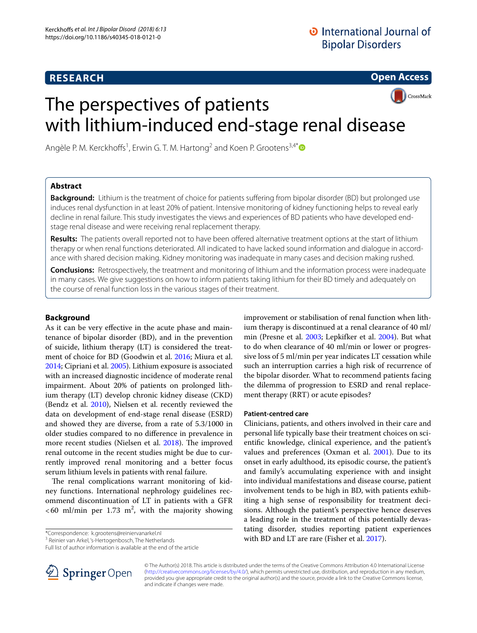# **RESEARCH**

**Open Access**



# The perspectives of patients with lithium-induced end-stage renal disease

Angèle P. M. Kerckhoffs<sup>1</sup>, Erwin G. T. M. Hartong<sup>2</sup> and Koen P. Grootens<sup>3,4[\\*](http://orcid.org/0000-0001-7458-107X)</sup>

# **Abstract**

**Background:** Lithium is the treatment of choice for patients sufering from bipolar disorder (BD) but prolonged use induces renal dysfunction in at least 20% of patient. Intensive monitoring of kidney functioning helps to reveal early decline in renal failure. This study investigates the views and experiences of BD patients who have developed endstage renal disease and were receiving renal replacement therapy.

Results: The patients overall reported not to have been offered alternative treatment options at the start of lithium therapy or when renal functions deteriorated. All indicated to have lacked sound information and dialogue in accordance with shared decision making. Kidney monitoring was inadequate in many cases and decision making rushed.

**Conclusions:** Retrospectively, the treatment and monitoring of lithium and the information process were inadequate in many cases. We give suggestions on how to inform patients taking lithium for their BD timely and adequately on the course of renal function loss in the various stages of their treatment.

# **Background**

As it can be very efective in the acute phase and maintenance of bipolar disorder (BD), and in the prevention of suicide, lithium therapy (LT) is considered the treatment of choice for BD (Goodwin et al. [2016;](#page-6-0) Miura et al. [2014](#page-6-1); Cipriani et al. [2005\)](#page-6-2). Lithium exposure is associated with an increased diagnostic incidence of moderate renal impairment. About 20% of patients on prolonged lithium therapy (LT) develop chronic kidney disease (CKD) (Bendz et al. [2010\)](#page-6-3), Nielsen et al. recently reviewed the data on development of end-stage renal disease (ESRD) and showed they are diverse, from a rate of 5.3/1000 in older studies compared to no diference in prevalence in more recent studies (Nielsen et al. [2018\)](#page-6-4). The improved renal outcome in the recent studies might be due to currently improved renal monitoring and a better focus serum lithium levels in patients with renal failure.

The renal complications warrant monitoring of kidney functions. International nephrology guidelines recommend discontinuation of LT in patients with a GFR  $<$  60 ml/min per 1.73 m<sup>2</sup>, with the majority showing

\*Correspondence: k.grootens@reiniervanarkel.nl

<sup>3</sup> Reinier van Arkel, 's-Hertogenbosch, The Netherlands



# **Patient‑centred care**

Clinicians, patients, and others involved in their care and personal life typically base their treatment choices on scientifc knowledge, clinical experience, and the patient's values and preferences (Oxman et al. [2001](#page-6-7)). Due to its onset in early adulthood, its episodic course, the patient's and family's accumulating experience with and insight into individual manifestations and disease course, patient involvement tends to be high in BD, with patients exhibiting a high sense of responsibility for treatment decisions. Although the patient's perspective hence deserves a leading role in the treatment of this potentially devastating disorder, studies reporting patient experiences with BD and LT are rare (Fisher et al. [2017](#page-6-8)).



© The Author(s) 2018. This article is distributed under the terms of the Creative Commons Attribution 4.0 International License [\(http://creativecommons.org/licenses/by/4.0/\)](http://creativecommons.org/licenses/by/4.0/), which permits unrestricted use, distribution, and reproduction in any medium, provided you give appropriate credit to the original author(s) and the source, provide a link to the Creative Commons license, and indicate if changes were made.

Full list of author information is available at the end of the article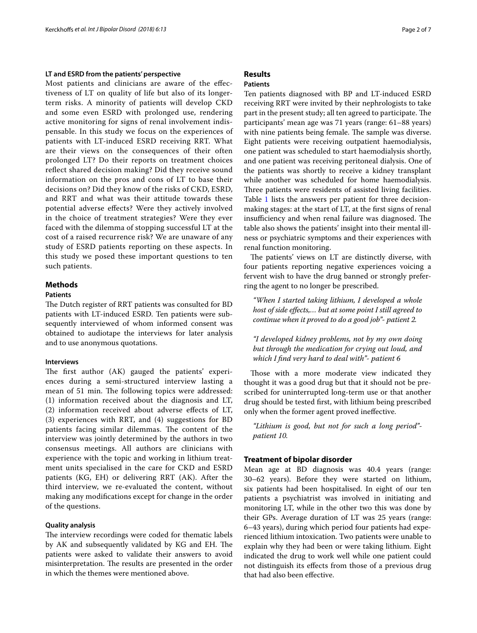# **LT and ESRD from the patients' perspective**

Most patients and clinicians are aware of the efectiveness of LT on quality of life but also of its longerterm risks. A minority of patients will develop CKD and some even ESRD with prolonged use, rendering active monitoring for signs of renal involvement indispensable. In this study we focus on the experiences of patients with LT-induced ESRD receiving RRT. What are their views on the consequences of their often prolonged LT? Do their reports on treatment choices refect shared decision making? Did they receive sound information on the pros and cons of LT to base their decisions on? Did they know of the risks of CKD, ESRD, and RRT and what was their attitude towards these potential adverse efects? Were they actively involved in the choice of treatment strategies? Were they ever faced with the dilemma of stopping successful LT at the cost of a raised recurrence risk? We are unaware of any study of ESRD patients reporting on these aspects. In this study we posed these important questions to ten such patients.

# **Methods**

#### **Patients**

The Dutch register of RRT patients was consulted for BD patients with LT-induced ESRD. Ten patients were subsequently interviewed of whom informed consent was obtained to audiotape the interviews for later analysis and to use anonymous quotations.

#### **Interviews**

The first author  $(AK)$  gauged the patients' experiences during a semi-structured interview lasting a mean of 51 min. The following topics were addressed: (1) information received about the diagnosis and LT, (2) information received about adverse efects of LT, (3) experiences with RRT, and (4) suggestions for BD patients facing similar dilemmas. The content of the interview was jointly determined by the authors in two consensus meetings. All authors are clinicians with experience with the topic and working in lithium treatment units specialised in the care for CKD and ESRD patients (KG, EH) or delivering RRT (AK). After the third interview, we re-evaluated the content, without making any modifcations except for change in the order of the questions.

#### **Quality analysis**

The interview recordings were coded for thematic labels by AK and subsequently validated by KG and EH. The patients were asked to validate their answers to avoid misinterpretation. The results are presented in the order in which the themes were mentioned above.

# **Results**

# **Patients**

Ten patients diagnosed with BP and LT-induced ESRD receiving RRT were invited by their nephrologists to take part in the present study; all ten agreed to participate. The participants' mean age was 71 years (range: 61–88 years) with nine patients being female. The sample was diverse. Eight patients were receiving outpatient haemodialysis, one patient was scheduled to start haemodialysis shortly, and one patient was receiving peritoneal dialysis. One of the patients was shortly to receive a kidney transplant while another was scheduled for home haemodialysis. Three patients were residents of assisted living facilities. Table [1](#page-2-0) lists the answers per patient for three decisionmaking stages: at the start of LT, at the frst signs of renal insufficiency and when renal failure was diagnosed. The table also shows the patients' insight into their mental illness or psychiatric symptoms and their experiences with renal function monitoring.

The patients' views on LT are distinctly diverse, with four patients reporting negative experiences voicing a fervent wish to have the drug banned or strongly preferring the agent to no longer be prescribed.

*"When I started taking lithium, I developed a whole host of side efects,… but at some point I still agreed to continue when it proved to do a good job"- patient 2.*

*"I developed kidney problems, not by my own doing but through the medication for crying out loud, and which I fnd very hard to deal with"- patient 6*

Those with a more moderate view indicated they thought it was a good drug but that it should not be prescribed for uninterrupted long-term use or that another drug should be tested frst, with lithium being prescribed only when the former agent proved inefective.

*"Lithium is good, but not for such a long period" patient 10.*

## **Treatment of bipolar disorder**

Mean age at BD diagnosis was 40.4 years (range: 30–62 years). Before they were started on lithium, six patients had been hospitalised. In eight of our ten patients a psychiatrist was involved in initiating and monitoring LT, while in the other two this was done by their GPs. Average duration of LT was 25 years (range: 6–43 years), during which period four patients had experienced lithium intoxication. Two patients were unable to explain why they had been or were taking lithium. Eight indicated the drug to work well while one patient could not distinguish its efects from those of a previous drug that had also been efective.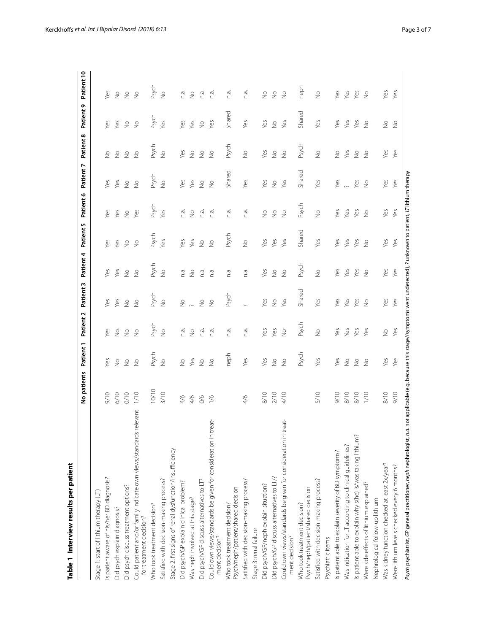<span id="page-2-0"></span>

| l |
|---|
|   |
| Ì |
|   |
|   |
|   |
|   |
|   |
|   |
|   |
| i |
|   |
| l |
| l |
|   |
|   |
|   |
|   |
|   |
|   |
|   |
|   |
|   |
|   |
|   |
|   |
|   |

| Table 1 Interview results per patient                                                            |                                                                                                              |                          |                          |                          |                          |                          |                          |                          |                          |                                 |                          |
|--------------------------------------------------------------------------------------------------|--------------------------------------------------------------------------------------------------------------|--------------------------|--------------------------|--------------------------|--------------------------|--------------------------|--------------------------|--------------------------|--------------------------|---------------------------------|--------------------------|
|                                                                                                  | No patients                                                                                                  | Patient 1                | Patient 2                | S<br>Patient             | Patient 4                | Patient 5                | Patient 6                | Patient7                 | Patient 8                | Patient 9                       | Patient 10               |
| Stage 1: start of lithium therapy (LT)                                                           |                                                                                                              |                          |                          |                          |                          |                          |                          |                          |                          |                                 |                          |
| Is patient aware of his/her BD diagnosis?                                                        | 01/6                                                                                                         | Yes                      | Yes                      | Yes                      | Yes                      | Yes                      | Yes                      | Yes                      | $\frac{1}{2}$            | Yes                             | Yes                      |
| Did psych explain diagnosis?                                                                     | 6/10                                                                                                         | $\frac{1}{2}$            | $\frac{1}{2}$            | Yes                      | Yes                      | Yes                      | Yes                      | Yes                      | $\frac{1}{2}$            | Yes                             | $\frac{9}{2}$            |
| Did psych discuss treatment options?                                                             | O(10)                                                                                                        | $\frac{1}{2}$            | $\frac{1}{2}$            | $\stackrel{\circ}{\geq}$ | $\frac{1}{2}$            | $\stackrel{\circ}{\geq}$ | $\frac{1}{2}$            | $\stackrel{\circ}{\geq}$ | $\stackrel{\circ}{\geq}$ | $\frac{1}{2}$                   | $\geq$                   |
| elevant<br>Could patient and/or family indicate own views/standards r<br>for treatment decision? | $1/10$                                                                                                       | $\frac{1}{2}$            | $\frac{1}{2}$            | $\frac{1}{2}$            | $\frac{1}{2}$            | $\frac{1}{2}$            | Yes                      | $\frac{1}{2}$            | $\frac{1}{2}$            | $\frac{1}{2}$                   | $\frac{1}{2}$            |
| Who took treatment decision?                                                                     | 10/10                                                                                                        | Psych                    | Psych                    | Psych                    | Psych                    | Psych                    | Psych                    | Psych                    | Psych                    | Psych                           | Psych                    |
| Satisfied with decision-making process?                                                          | 3/10                                                                                                         | $\frac{1}{2}$            | $\frac{1}{2}$            | $\frac{1}{2}$            | $\geq$                   | Yes                      | yes                      | $\frac{9}{2}$            | $\frac{9}{2}$            | Yes                             | $\geq$                   |
| Stage 2: first signs of renal dysfunction/insufficiency                                          |                                                                                                              |                          |                          |                          |                          |                          |                          |                          |                          |                                 |                          |
| Did psych/GP explain clinical problem?                                                           | 4/6                                                                                                          | $\frac{1}{2}$            | n.a.                     |                          | n.đ                      | Yes                      | n.a.                     | Yes                      | Yes                      | Yes                             | n.a.                     |
| Was neph involved at this stage?                                                                 | $46$<br>$06$                                                                                                 | yes                      | $\stackrel{\circ}{\geq}$ | $2 \sim 2$               |                          | Yes                      | $\stackrel{\circ}{\geq}$ | Yes                      | $\stackrel{\circ}{\geq}$ | Yes                             | $\stackrel{\circ}{\geq}$ |
| Did psych/GP discuss alternatives to LT?                                                         |                                                                                                              | $\frac{1}{2}$            | n.a                      |                          | $2 \tilde{e}$            | $\frac{1}{2}$            | Γd.                      | $\frac{1}{2}$            | $\frac{1}{2}$            | $\stackrel{\circ}{\geq}$        | n.a.                     |
| eat-<br>Could own views/standards be given for consideration in tr<br>ment decision?             | 1/6                                                                                                          | $\frac{1}{2}$            | n.a.                     | $\frac{9}{2}$            | n.a.                     | $\frac{1}{2}$            | C.                       | $\frac{1}{2}$            | $\stackrel{\circ}{\geq}$ | Yes                             | n.a.                     |
| Psych/neph/patient/shared decision<br>Who took treatment decision?                               |                                                                                                              | neph                     | n.a.                     | Psych                    | n.a.                     | Psych                    | n.a.                     | Shared                   | Psych                    | Shared                          | n.a.                     |
| Satisfied with decision-making process?                                                          | 4/6                                                                                                          | Yes                      | n.a.                     |                          | n.a.                     | $\stackrel{\circ}{\geq}$ | n.a.                     | Yes                      | $\stackrel{\circ}{\geq}$ | Yes                             | n.a.                     |
| Stage 3: renal failure                                                                           |                                                                                                              |                          |                          |                          |                          |                          |                          |                          |                          |                                 |                          |
| Did psych/GP/neph explain situation?                                                             | 8/10                                                                                                         | Yes                      | Yes                      | Yes                      | Yes                      | Yes                      | $\stackrel{\circ}{\geq}$ | Yes                      | Yes                      | Yes                             | $\stackrel{\circ}{\geq}$ |
| Did psych/GP discuss alternatives to LT/?                                                        | 2/10                                                                                                         | $\stackrel{\circ}{\geq}$ | Yes                      | $\frac{\circ}{\sim}$     | $\stackrel{\circ}{\geq}$ | Yes                      | $\stackrel{\circ}{\geq}$ | $\stackrel{\circ}{\geq}$ | $\stackrel{\circ}{\geq}$ | $\frac{\circ}{\sim}$            | $\stackrel{\circ}{\geq}$ |
| eat-<br>Could own views/standards be given for consideration in tr<br>ment decision?             | 4/10                                                                                                         | $\frac{1}{2}$            | $\frac{1}{2}$            | Yes                      | $\frac{1}{2}$            | Yes                      | $\frac{1}{2}$            | Yes                      | $\frac{1}{2}$            | Yes                             | $\frac{1}{2}$            |
| Psych/neph/patient/shared decision<br>Who took treatment decision?                               |                                                                                                              | Psych                    | Psych                    | Shared                   | Psych                    | Shared                   | Psych                    | Shared                   | Psych                    | Shared                          | neph                     |
| Satisfied with decision-making process?                                                          | 5/10                                                                                                         | Yes                      | $\stackrel{\circ}{\geq}$ | Yes                      | $\stackrel{\circ}{\geq}$ | Yes                      | $\stackrel{\circ}{\geq}$ | Yes                      | $\stackrel{\circ}{\geq}$ | Yes                             | $\stackrel{\circ}{\geq}$ |
| Psychiatric items                                                                                |                                                                                                              |                          |                          |                          |                          |                          |                          |                          |                          |                                 |                          |
| Is patient able to explain severity of BD symptoms?                                              | 01/6                                                                                                         | Yes                      | Yes                      | Yes                      | Yes                      | Yes                      | Yes                      | Yes                      | $\stackrel{\circ}{\geq}$ | Yes                             | Yes                      |
| Was indication for LT according to clinical guidelines?                                          | 01/8                                                                                                         | $\stackrel{\circ}{\geq}$ | Yes                      | Yes                      | Yes                      | Yes                      | Yes                      | $\sim$                   | yes                      | Yes                             | Yes                      |
| Is patient able to explain why s(he) is/was taking lithium?                                      | 8/10                                                                                                         | $\frac{1}{2}$            | Yes                      | yes                      | Yes                      | Yes                      | yes                      | Yes                      | $\frac{9}{2}$            | yes                             | Yes                      |
| Were side effects of lithium explained?                                                          | 1/10                                                                                                         | $\frac{1}{2}$            | Yes                      | $\frac{1}{2}$            | $\frac{1}{2}$            | $\frac{1}{2}$            | $\frac{1}{2}$            | $\frac{1}{2}$            | $\frac{1}{2}$            | $\frac{1}{2}$                   | $\frac{1}{2}$            |
| Nephrological follow-up lithium                                                                  |                                                                                                              |                          |                          |                          |                          |                          |                          |                          |                          |                                 |                          |
| Was kidney function checked at least 2x/year?                                                    | 01/8                                                                                                         | Yes                      | $\stackrel{\circ}{\geq}$ | Yes                      | Yes                      | Yes                      | Yes                      | Yes                      | Yes                      | $\frac{\mathsf{O}}{\mathsf{O}}$ | Yes                      |
| Were lithium levels checked every 6 months?                                                      | 01/6                                                                                                         | Yes                      | Yes                      | Yes                      | Yes                      | Yes                      | Yes                      | Yes                      | Yes                      | $\frac{1}{2}$                   | yes                      |
| Psych psychiatrist, GP general practitioner, neph nephrologist, n.a                              | not applicable (e.g. because this stage//symptoms went undetected), ? unknown to patient, LT lithium therapy |                          |                          |                          |                          |                          |                          |                          |                          |                                 |                          |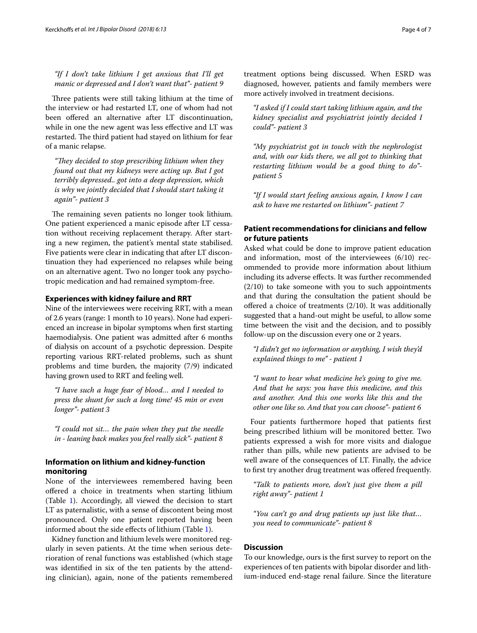*"If I don't take lithium I get anxious that I'll get manic or depressed and I don't want that"- patient 9*

Three patients were still taking lithium at the time of the interview or had restarted LT, one of whom had not been offered an alternative after LT discontinuation, while in one the new agent was less effective and LT was restarted. The third patient had stayed on lithium for fear of a manic relapse.

*"They decided to stop prescribing lithium when they found out that my kidneys were acting up. But I got terribly depressed.. got into a deep depression, which is why we jointly decided that I should start taking it again"- patient 3*

The remaining seven patients no longer took lithium. One patient experienced a manic episode after LT cessation without receiving replacement therapy. After starting a new regimen, the patient's mental state stabilised. Five patients were clear in indicating that after LT discontinuation they had experienced no relapses while being on an alternative agent. Two no longer took any psychotropic medication and had remained symptom-free.

# **Experiences with kidney failure and RRT**

Nine of the interviewees were receiving RRT, with a mean of 2.6 years (range: 1 month to 10 years). None had experienced an increase in bipolar symptoms when frst starting haemodialysis. One patient was admitted after 6 months of dialysis on account of a psychotic depression. Despite reporting various RRT-related problems, such as shunt problems and time burden, the majority (7/9) indicated having grown used to RRT and feeling well.

*"I have such a huge fear of blood… and I needed to press the shunt for such a long time! 45 min or even longer"- patient 3*

*"I could not sit… the pain when they put the needle in - leaning back makes you feel really sick"- patient 8*

# **Information on lithium and kidney‑function monitoring**

None of the interviewees remembered having been ofered a choice in treatments when starting lithium (Table [1](#page-2-0)). Accordingly, all viewed the decision to start LT as paternalistic, with a sense of discontent being most pronounced. Only one patient reported having been informed about the side efects of lithium (Table [1\)](#page-2-0).

Kidney function and lithium levels were monitored regularly in seven patients. At the time when serious deterioration of renal functions was established (which stage was identifed in six of the ten patients by the attending clinician), again, none of the patients remembered treatment options being discussed. When ESRD was diagnosed, however, patients and family members were more actively involved in treatment decisions.

*"I asked if I could start taking lithium again, and the kidney specialist and psychiatrist jointly decided I could"- patient 3*

*"My psychiatrist got in touch with the nephrologist and, with our kids there, we all got to thinking that restarting lithium would be a good thing to do" patient 5*

*"If I would start feeling anxious again, I know I can ask to have me restarted on lithium"- patient 7*

# **Patient recommendations for clinicians and fellow or future patients**

Asked what could be done to improve patient education and information, most of the interviewees (6/10) recommended to provide more information about lithium including its adverse efects. It was further recommended (2/10) to take someone with you to such appointments and that during the consultation the patient should be offered a choice of treatments  $(2/10)$ . It was additionally suggested that a hand-out might be useful, to allow some time between the visit and the decision, and to possibly follow-up on the discussion every one or 2 years.

*"I didn't get no information or anything, I wish they'd explained things to me" - patient 1*

*"I want to hear what medicine he's going to give me. And that he says: you have this medicine, and this and another. And this one works like this and the other one like so. And that you can choose"- patient 6*

Four patients furthermore hoped that patients frst being prescribed lithium will be monitored better. Two patients expressed a wish for more visits and dialogue rather than pills, while new patients are advised to be well aware of the consequences of LT. Finally, the advice to frst try another drug treatment was ofered frequently.

*"Talk to patients more, don't just give them a pill right away"- patient 1*

*"You can't go and drug patients up just like that… you need to communicate"- patient 8*

# **Discussion**

To our knowledge, ours is the frst survey to report on the experiences of ten patients with bipolar disorder and lithium-induced end-stage renal failure. Since the literature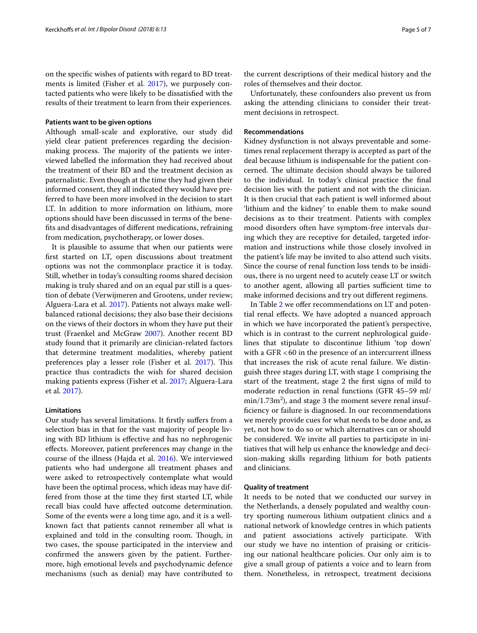on the specifc wishes of patients with regard to BD treat-ments is limited (Fisher et al. [2017](#page-6-8)), we purposely contacted patients who were likely to be dissatisfed with the results of their treatment to learn from their experiences.

#### **Patients want to be given options**

Although small-scale and explorative, our study did yield clear patient preferences regarding the decisionmaking process. The majority of the patients we interviewed labelled the information they had received about the treatment of their BD and the treatment decision as paternalistic. Even though at the time they had given their informed consent, they all indicated they would have preferred to have been more involved in the decision to start LT. In addition to more information on lithium, more options should have been discussed in terms of the benefts and disadvantages of diferent medications, refraining from medication, psychotherapy, or lower doses.

It is plausible to assume that when our patients were frst started on LT, open discussions about treatment options was not the commonplace practice it is today. Still, whether in today's consulting rooms shared decision making is truly shared and on an equal par still is a question of debate (Verwijmeren and Grootens, under review; Alguera-Lara et al. [2017\)](#page-6-9). Patients not always make wellbalanced rational decisions; they also base their decisions on the views of their doctors in whom they have put their trust (Fraenkel and McGraw [2007](#page-6-10)). Another recent BD study found that it primarily are clinician-related factors that determine treatment modalities, whereby patient preferences play a lesser role (Fisher et al. [2017](#page-6-11)). This practice thus contradicts the wish for shared decision making patients express (Fisher et al. [2017](#page-6-8); Alguera-Lara et al. [2017\)](#page-6-9).

## **Limitations**

Our study has several limitations. It frstly sufers from a selection bias in that for the vast majority of people living with BD lithium is efective and has no nephrogenic efects. Moreover, patient preferences may change in the course of the illness (Hajda et al. [2016\)](#page-6-12). We interviewed patients who had undergone all treatment phases and were asked to retrospectively contemplate what would have been the optimal process, which ideas may have differed from those at the time they frst started LT, while recall bias could have afected outcome determination. Some of the events were a long time ago, and it is a wellknown fact that patients cannot remember all what is explained and told in the consulting room. Though, in two cases, the spouse participated in the interview and confrmed the answers given by the patient. Furthermore, high emotional levels and psychodynamic defence mechanisms (such as denial) may have contributed to the current descriptions of their medical history and the roles of themselves and their doctor.

Unfortunately, these confounders also prevent us from asking the attending clinicians to consider their treatment decisions in retrospect.

#### **Recommendations**

Kidney dysfunction is not always preventable and sometimes renal replacement therapy is accepted as part of the deal because lithium is indispensable for the patient concerned. The ultimate decision should always be tailored to the individual. In today's clinical practice the fnal decision lies with the patient and not with the clinician. It is then crucial that each patient is well informed about 'lithium and the kidney' to enable them to make sound decisions as to their treatment. Patients with complex mood disorders often have symptom-free intervals during which they are receptive for detailed, targeted information and instructions while those closely involved in the patient's life may be invited to also attend such visits. Since the course of renal function loss tends to be insidious, there is no urgent need to acutely cease LT or switch to another agent, allowing all parties sufficient time to make informed decisions and try out diferent regimens.

In Table [2](#page-5-0) we offer recommendations on LT and potential renal efects. We have adopted a nuanced approach in which we have incorporated the patient's perspective, which is in contrast to the current nephrological guidelines that stipulate to discontinue lithium 'top down' with a GFR <60 in the presence of an intercurrent illness that increases the risk of acute renal failure. We distinguish three stages during LT, with stage 1 comprising the start of the treatment, stage 2 the frst signs of mild to moderate reduction in renal functions (GFR 45–59 ml/  $min/1.73m<sup>2</sup>$ ), and stage 3 the moment severe renal insuffciency or failure is diagnosed. In our recommendations we merely provide cues for what needs to be done and, as yet, not how to do so or which alternatives can or should be considered. We invite all parties to participate in initiatives that will help us enhance the knowledge and decision-making skills regarding lithium for both patients and clinicians.

#### **Quality of treatment**

It needs to be noted that we conducted our survey in the Netherlands, a densely populated and wealthy country sporting numerous lithium outpatient clinics and a national network of knowledge centres in which patients and patient associations actively participate. With our study we have no intention of praising or criticising our national healthcare policies. Our only aim is to give a small group of patients a voice and to learn from them. Nonetheless, in retrospect, treatment decisions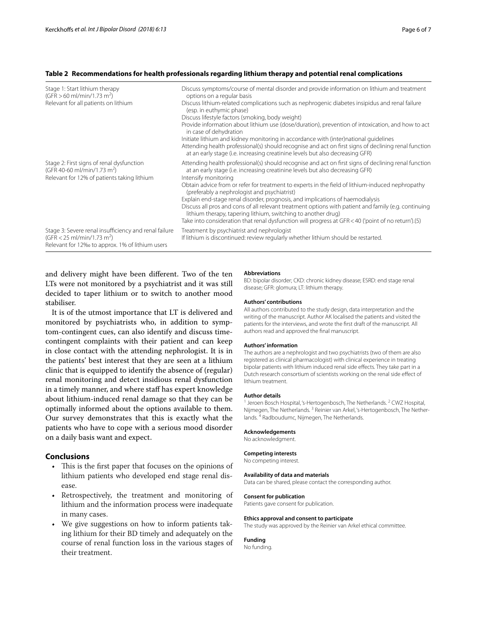# <span id="page-5-0"></span>**Table 2 Recommendations for health professionals regarding lithium therapy and potential renal complications**

| Stage 1: Start lithium therapy<br>(GFR $>$ 60 ml/min/1.73 m <sup>2</sup> )                                                                         | Discuss symptoms/course of mental disorder and provide information on lithium and treatment<br>options on a regular basis                                                                                                                                                     |
|----------------------------------------------------------------------------------------------------------------------------------------------------|-------------------------------------------------------------------------------------------------------------------------------------------------------------------------------------------------------------------------------------------------------------------------------|
| Relevant for all patients on lithium                                                                                                               | Discuss lithium-related complications such as nephrogenic diabetes insipidus and renal failure<br>(esp. in euthymic phase)                                                                                                                                                    |
|                                                                                                                                                    | Discuss lifestyle factors (smoking, body weight)                                                                                                                                                                                                                              |
|                                                                                                                                                    | Provide information about lithium use (dose/duration), prevention of intoxication, and how to act<br>in case of dehydration                                                                                                                                                   |
|                                                                                                                                                    | Initiate lithium and kidney monitoring in accordance with (inter)national quidelines<br>Attending health professional(s) should recognise and act on first signs of declining renal function<br>at an early stage (i.e. increasing creatinine levels but also decreasing GFR) |
| Stage 2: First signs of renal dysfunction<br>(GFR 40-60 ml/min/1.73 m <sup>2</sup> )<br>Relevant for 12% of patients taking lithium                | Attending health professional(s) should recognise and act on first signs of declining renal function<br>at an early stage (i.e. increasing creatinine levels but also decreasing GFR)<br>Intensify monitoring                                                                 |
|                                                                                                                                                    | Obtain advice from or refer for treatment to experts in the field of lithium-induced nephropathy<br>(preferably a nephrologist and psychiatrist)                                                                                                                              |
|                                                                                                                                                    | Explain end-stage renal disorder, prognosis, and implications of haemodialysis                                                                                                                                                                                                |
|                                                                                                                                                    | Discuss all pros and cons of all relevant treatment options with patient and family (e.g. continuing<br>lithium therapy, tapering lithium, switching to another drug)                                                                                                         |
|                                                                                                                                                    | Take into consideration that renal dysfunction will progress at GFR < 40 ('point of no return').(5)                                                                                                                                                                           |
| Stage 3: Severe renal insufficiency and renal failure<br>(GFR < 25 ml/min/1.73 m <sup>2</sup> )<br>Relevant for 12‰ to approx. 1% of lithium users | Treatment by psychiatrist and nephrologist<br>If lithium is discontinued: review regularly whether lithium should be restarted.                                                                                                                                               |

and delivery might have been diferent. Two of the ten LTs were not monitored by a psychiatrist and it was still decided to taper lithium or to switch to another mood stabiliser.

It is of the utmost importance that LT is delivered and monitored by psychiatrists who, in addition to symptom-contingent cues, can also identify and discuss timecontingent complaints with their patient and can keep in close contact with the attending nephrologist. It is in the patients' best interest that they are seen at a lithium clinic that is equipped to identify the absence of (regular) renal monitoring and detect insidious renal dysfunction in a timely manner, and where staf has expert knowledge about lithium-induced renal damage so that they can be optimally informed about the options available to them. Our survey demonstrates that this is exactly what the patients who have to cope with a serious mood disorder on a daily basis want and expect.

# **Conclusions**

- This is the first paper that focuses on the opinions of lithium patients who developed end stage renal disease.
- Retrospectively, the treatment and monitoring of lithium and the information process were inadequate in many cases.
- •• We give suggestions on how to inform patients taking lithium for their BD timely and adequately on the course of renal function loss in the various stages of their treatment.

#### **Abbreviations**

BD: bipolar disorder; CKD: chronic kidney disease; ESRD: end stage renal disease; GFR: glomura; LT: lithium therapy.

#### **Authors' contributions**

All authors contributed to the study design, data interpretation and the writing of the manuscript. Author AK localised the patients and visited the patients for the interviews, and wrote the frst draft of the manuscript. All authors read and approved the fnal manuscript.

#### **Authors' information**

The authors are a nephrologist and two psychiatrists (two of them are also registered as clinical pharmacologist) with clinical experience in treating bipolar patients with lithium induced renal side efects. They take part in a Dutch research consortium of scientists working on the renal side efect of lithium treatment.

#### **Author details**

<sup>1</sup> Jeroen Bosch Hospital, 's-Hertogenbosch, The Netherlands. <sup>2</sup> CWZ Hospital, Nijmegen, The Netherlands. <sup>3</sup> Reinier van Arkel, 's-Hertogenbosch, The Netherlands. 4 Radboudumc, Nijmegen, The Netherlands.

#### **Acknowledgements**

No acknowledgment.

#### **Competing interests**

No competing interest.

# **Availability of data and materials**

Data can be shared, please contact the corresponding author.

#### **Consent for publication**

Patients gave consent for publication.

#### **Ethics approval and consent to participate**

The study was approved by the Reinier van Arkel ethical committee.

**Funding** No funding.